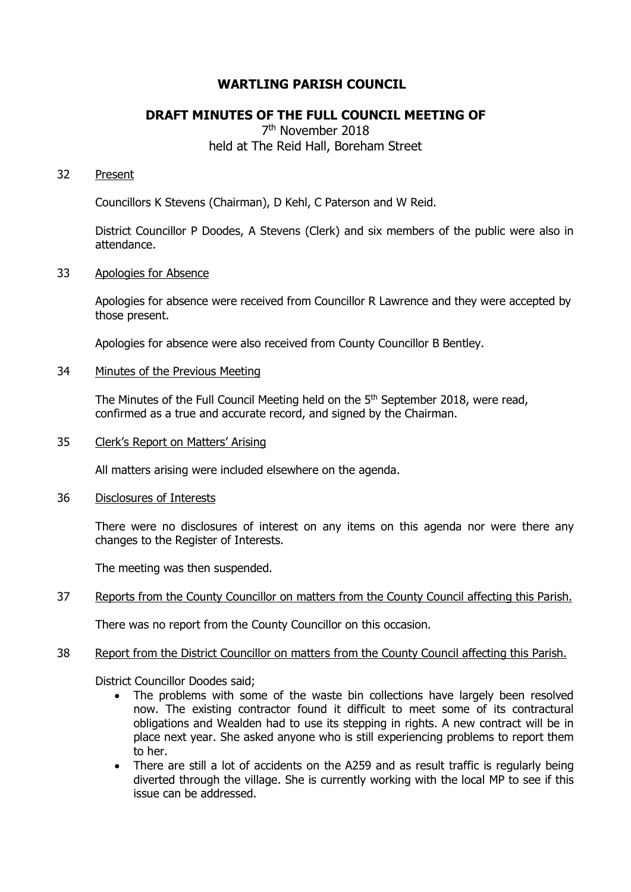# **WARTLING PARISH COUNCIL**

# **DRAFT MINUTES OF THE FULL COUNCIL MEETING OF**

# 7th November 2018 held at The Reid Hall, Boreham Street

## 32 Present

Councillors K Stevens (Chairman), D Kehl, C Paterson and W Reid.

District Councillor P Doodes, A Stevens (Clerk) and six members of the public were also in attendance.

#### 33 Apologies for Absence

Apologies for absence were received from Councillor R Lawrence and they were accepted by those present.

Apologies for absence were also received from County Councillor B Bentley.

#### 34 Minutes of the Previous Meeting

The Minutes of the Full Council Meeting held on the 5<sup>th</sup> September 2018, were read, confirmed as a true and accurate record, and signed by the Chairman.

35 Clerk's Report on Matters' Arising

All matters arising were included elsewhere on the agenda.

36 Disclosures of Interests

There were no disclosures of interest on any items on this agenda nor were there any changes to the Register of Interests.

The meeting was then suspended.

## 37 Reports from the County Councillor on matters from the County Council affecting this Parish.

There was no report from the County Councillor on this occasion.

## 38 Report from the District Councillor on matters from the County Council affecting this Parish.

District Councillor Doodes said;

- The problems with some of the waste bin collections have largely been resolved now. The existing contractor found it difficult to meet some of its contractural obligations and Wealden had to use its stepping in rights. A new contract will be in place next year. She asked anyone who is still experiencing problems to report them to her.
- There are still a lot of accidents on the A259 and as result traffic is regularly being diverted through the village. She is currently working with the local MP to see if this issue can be addressed.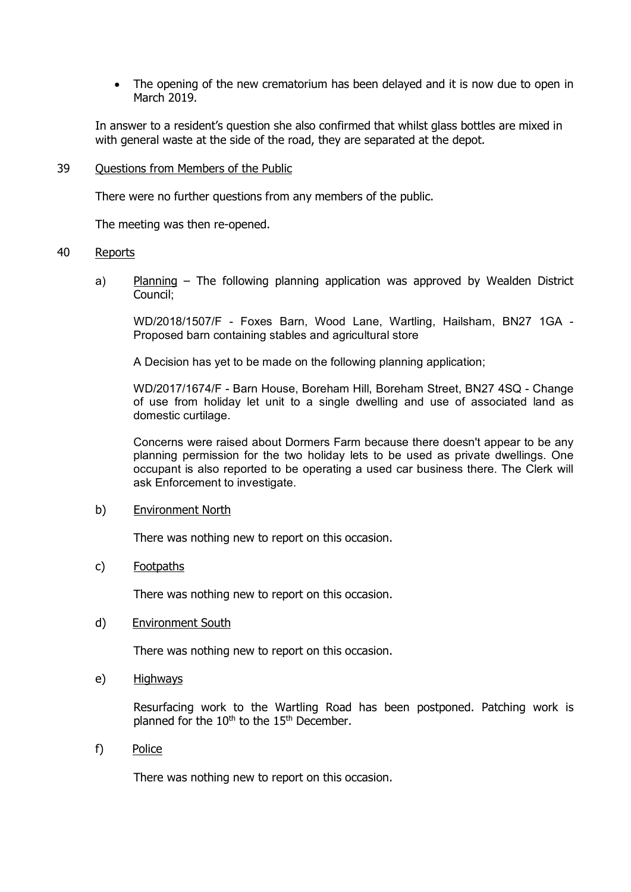The opening of the new crematorium has been delayed and it is now due to open in March 2019.

In answer to a resident's question she also confirmed that whilst glass bottles are mixed in with general waste at the side of the road, they are separated at the depot.

#### 39 Questions from Members of the Public

There were no further questions from any members of the public.

The meeting was then re-opened.

#### 40 Reports

a) Planning – The following planning application was approved by Wealden District Council;

WD/2018/1507/F - Foxes Barn, Wood Lane, Wartling, Hailsham, BN27 1GA - Proposed barn containing stables and agricultural store

A Decision has yet to be made on the following planning application;

WD/2017/1674/F - Barn House, Boreham Hill, Boreham Street, BN27 4SQ - Change of use from holiday let unit to a single dwelling and use of associated land as domestic curtilage.

Concerns were raised about Dormers Farm because there doesn't appear to be any planning permission for the two holiday lets to be used as private dwellings. One occupant is also reported to be operating a used car business there. The Clerk will ask Enforcement to investigate.

## b) Environment North

There was nothing new to report on this occasion.

## c) Footpaths

There was nothing new to report on this occasion.

## d) Environment South

There was nothing new to report on this occasion.

e) Highways

Resurfacing work to the Wartling Road has been postponed. Patching work is planned for the  $10<sup>th</sup>$  to the  $15<sup>th</sup>$  December.

f) Police

There was nothing new to report on this occasion.